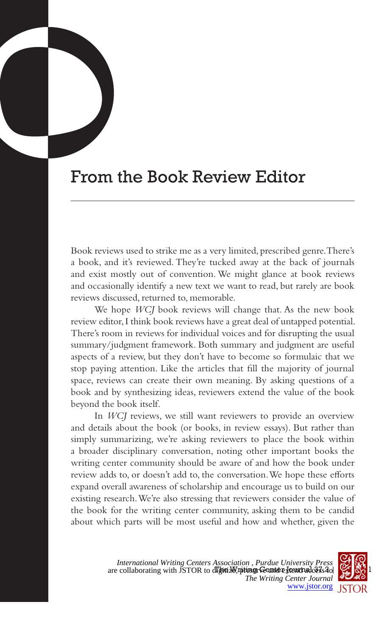## From the Book Review Editor

Book reviews used to strike me as a very limited, prescribed genre. There's a book, and it's reviewed. They're tucked away at the back of journals and exist mostly out of convention. We might glance at book reviews and occasionally identify a new text we want to read, but rarely are book reviews discussed, returned to, memorable.

We hope *WCJ* book reviews will change that. As the new book review editor, I think book reviews have a great deal of untapped potential. There's room in reviews for individual voices and for disrupting the usual summary/judgment framework. Both summary and judgment are useful aspects of a review, but they don't have to become so formulaic that we stop paying attention. Like the articles that fill the majority of journal space, reviews can create their own meaning. By asking questions of a book and by synthesizing ideas, reviewers extend the value of the book beyond the book itself.

In *WCJ* reviews, we still want reviewers to provide an overview and details about the book (or books, in review essays). But rather than simply summarizing, we're asking reviewers to place the book within a broader disciplinary conversation, noting other important books the writing center community should be aware of and how the book under review adds to, or doesn't add to, the conversation. We hope these efforts expand overall awareness of scholarship and encourage us to build on our existing research. We're also stressing that reviewers consider the value of the book for the writing center community, asking them to be candid about which parts will be most useful and how and whether, given the

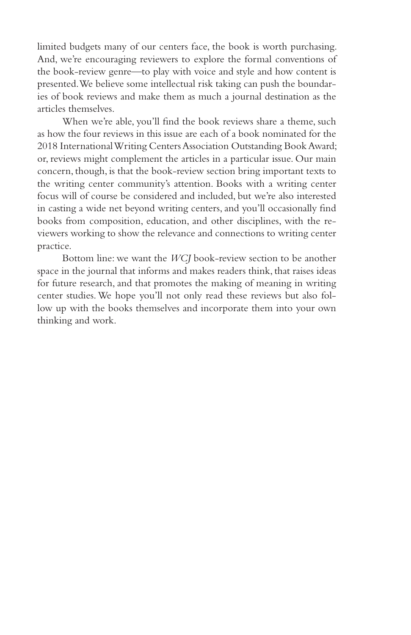limited budgets many of our centers face, the book is worth purchasing. And, we're encouraging reviewers to explore the formal conventions of the book-review genre—to play with voice and style and how content is presented. We believe some intellectual risk taking can push the boundaries of book reviews and make them as much a journal destination as the articles themselves.

When we're able, you'll find the book reviews share a theme, such as how the four reviews in this issue are each of a book nominated for the 2018 International Writing Centers Association Outstanding Book Award; or, reviews might complement the articles in a particular issue. Our main concern, though, is that the book-review section bring important texts to the writing center community's attention. Books with a writing center focus will of course be considered and included, but we're also interested in casting a wide net beyond writing centers, and you'll occasionally find books from composition, education, and other disciplines, with the reviewers working to show the relevance and connections to writing center practice.

Bottom line: we want the *WCJ* book-review section to be another space in the journal that informs and makes readers think, that raises ideas for future research, and that promotes the making of meaning in writing center studies. We hope you'll not only read these reviews but also follow up with the books themselves and incorporate them into your own thinking and work.